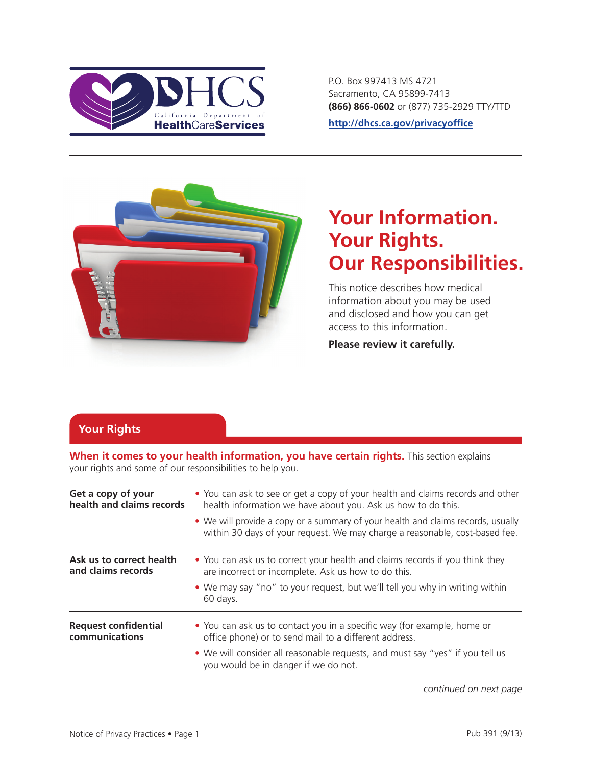

P.O. Box 997413 MS 4721 Sacramento, CA 95899-7413 **(866) 866-0602** or (877) 735-2929 TTY/TTD

**<http://dhcs.ca.gov/privacyoffice>**



# **Your Information. Your Rights. Our Responsibilities.**

This notice describes how medical information about you may be used and disclosed and how you can get access to this information.

**Please review it carefully.**

# **Your Rights**

**When it comes to your health information, you have certain rights.** This section explains your rights and some of our responsibilities to help you.

| Get a copy of your<br>health and claims records | • You can ask to see or get a copy of your health and claims records and other<br>health information we have about you. Ask us how to do this.<br>• We will provide a copy or a summary of your health and claims records, usually<br>within 30 days of your request. We may charge a reasonable, cost-based fee. |
|-------------------------------------------------|-------------------------------------------------------------------------------------------------------------------------------------------------------------------------------------------------------------------------------------------------------------------------------------------------------------------|
| Ask us to correct health<br>and claims records  | • You can ask us to correct your health and claims records if you think they<br>are incorrect or incomplete. Ask us how to do this.<br>• We may say "no" to your request, but we'll tell you why in writing within<br>60 days.                                                                                    |
| <b>Request confidential</b><br>communications   | • You can ask us to contact you in a specific way (for example, home or<br>office phone) or to send mail to a different address.<br>• We will consider all reasonable requests, and must say "yes" if you tell us<br>you would be in danger if we do not.                                                         |
|                                                 |                                                                                                                                                                                                                                                                                                                   |

*continued on next page*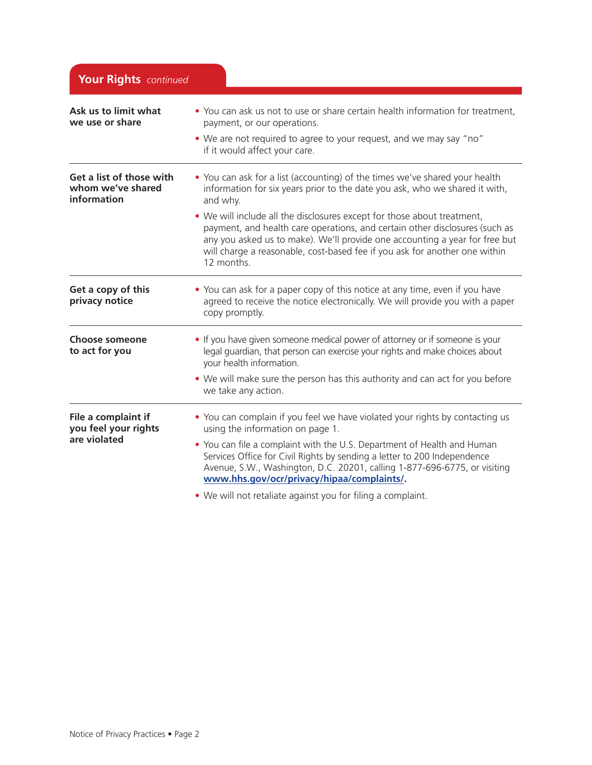| Your Rights continued                                               |                                                                                                                                                                                                                                                                                                                                   |
|---------------------------------------------------------------------|-----------------------------------------------------------------------------------------------------------------------------------------------------------------------------------------------------------------------------------------------------------------------------------------------------------------------------------|
| Ask us to limit what<br>we use or share                             | • You can ask us not to use or share certain health information for treatment,<br>payment, or our operations.<br>• We are not required to agree to your request, and we may say "no"<br>if it would affect your care.                                                                                                             |
| <b>Get a list of those with</b><br>whom we've shared<br>information | • You can ask for a list (accounting) of the times we've shared your health<br>information for six years prior to the date you ask, who we shared it with,<br>and why.                                                                                                                                                            |
|                                                                     | • We will include all the disclosures except for those about treatment,<br>payment, and health care operations, and certain other disclosures (such as<br>any you asked us to make). We'll provide one accounting a year for free but<br>will charge a reasonable, cost-based fee if you ask for another one within<br>12 months. |
| Get a copy of this<br>privacy notice                                | • You can ask for a paper copy of this notice at any time, even if you have<br>agreed to receive the notice electronically. We will provide you with a paper<br>copy promptly.                                                                                                                                                    |
| <b>Choose someone</b><br>to act for you                             | • If you have given someone medical power of attorney or if someone is your<br>legal guardian, that person can exercise your rights and make choices about<br>your health information.                                                                                                                                            |
|                                                                     | • We will make sure the person has this authority and can act for you before<br>we take any action.                                                                                                                                                                                                                               |
| File a complaint if<br>you feel your rights                         | • You can complain if you feel we have violated your rights by contacting us<br>using the information on page 1.                                                                                                                                                                                                                  |
| are violated                                                        | • You can file a complaint with the U.S. Department of Health and Human<br>Services Office for Civil Rights by sending a letter to 200 Independence<br>Avenue, S.W., Washington, D.C. 20201, calling 1-877-696-6775, or visiting<br>www.hhs.gov/ocr/privacy/hipaa/complaints/.                                                    |
|                                                                     | • We will not retaliate against you for filing a complaint.                                                                                                                                                                                                                                                                       |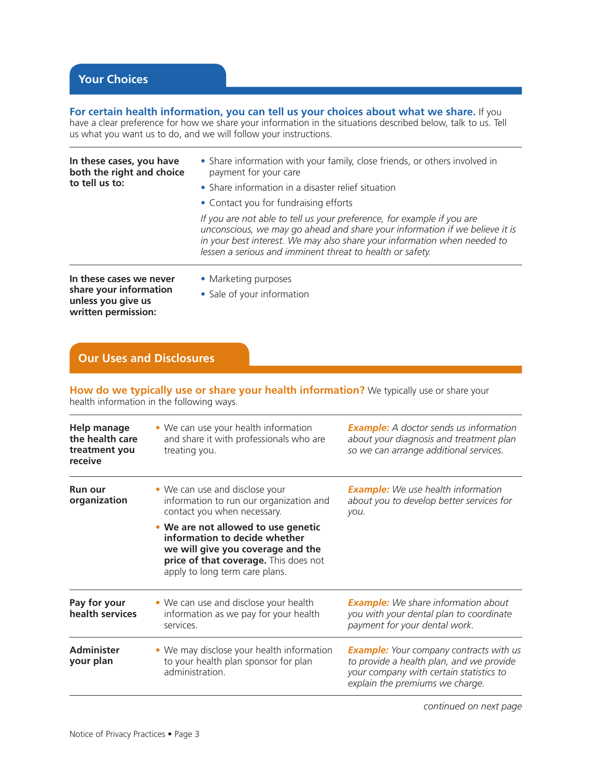#### **For certain health information, you can tell us your choices about what we share.** If you

have a clear preference for how we share your information in the situations described below, talk to us. Tell us what you want us to do, and we will follow your instructions.

| In these cases, you have<br>both the right and choice<br>to tell us to: | • Share information with your family, close friends, or others involved in<br>payment for your care<br>• Share information in a disaster relief situation<br>• Contact you for fundraising efforts                                                                                             |
|-------------------------------------------------------------------------|------------------------------------------------------------------------------------------------------------------------------------------------------------------------------------------------------------------------------------------------------------------------------------------------|
|                                                                         | If you are not able to tell us your preference, for example if you are<br>unconscious, we may go ahead and share your information if we believe it is<br>in your best interest. We may also share your information when needed to<br>lessen a serious and imminent threat to health or safety. |

**In these cases we never share your information unless you give us written permission:**

• Marketing purposes

• Sale of your information

**Our Uses and Disclosures**

**How do we typically use or share your health information?** We typically use or share your health information in the following ways.

| <b>Help manage</b><br>the health care<br>treatment you<br>receive | • We can use your health information<br>and share it with professionals who are<br>treating you.                                                                                     | <b>Example:</b> A doctor sends us information<br>about your diagnosis and treatment plan<br>so we can arrange additional services.                                       |
|-------------------------------------------------------------------|--------------------------------------------------------------------------------------------------------------------------------------------------------------------------------------|--------------------------------------------------------------------------------------------------------------------------------------------------------------------------|
| <b>Run our</b><br>organization                                    | • We can use and disclose your<br>information to run our organization and<br>contact you when necessary.                                                                             | <b>Example:</b> We use health information<br>about you to develop better services for<br>you.                                                                            |
|                                                                   | • We are not allowed to use genetic<br>information to decide whether<br>we will give you coverage and the<br>price of that coverage. This does not<br>apply to long term care plans. |                                                                                                                                                                          |
| Pay for your<br>health services                                   | • We can use and disclose your health<br>information as we pay for your health<br>services.                                                                                          | <b>Example:</b> We share information about<br>you with your dental plan to coordinate<br>payment for your dental work.                                                   |
| <b>Administer</b><br>your plan                                    | • We may disclose your health information<br>to your health plan sponsor for plan<br>administration.                                                                                 | <b>Example:</b> Your company contracts with us<br>to provide a health plan, and we provide<br>your company with certain statistics to<br>explain the premiums we charge. |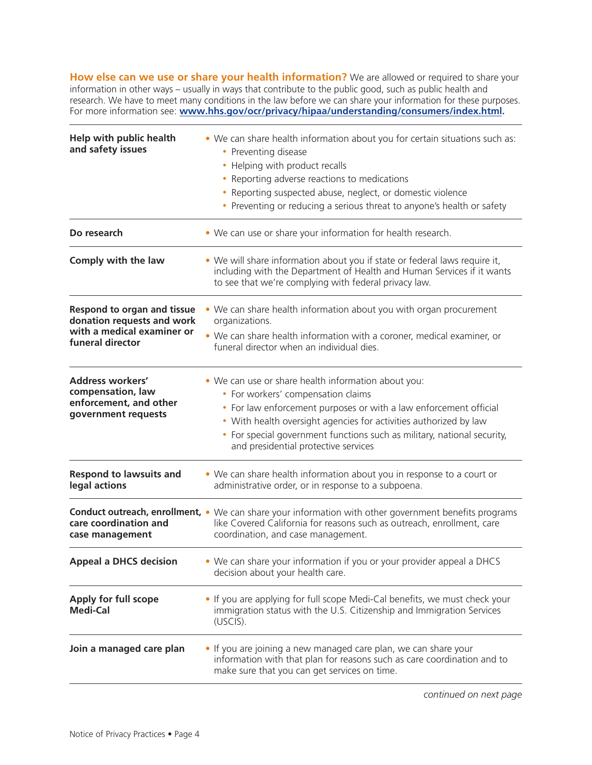**How else can we use or share your health information?** We are allowed or required to share your information in other ways – usually in ways that contribute to the public good, such as public health and research. We have to meet many conditions in the law before we can share your information for these purposes. For more information see: **[www.hhs.gov/ocr/privacy/hipaa/understanding/consumers/index.html.](www.hhs.gov/ocr/privacy/hipaa/understanding/consumers/index.html)**

| Do research<br>• We can use or share your information for health research.<br>Comply with the law<br>. We will share information about you if state or federal laws require it,<br>including with the Department of Health and Human Services if it wants<br>to see that we're complying with federal privacy law.<br><b>Respond to organ and tissue</b><br>• We can share health information about you with organ procurement<br>donation requests and work<br>organizations.<br>with a medical examiner or<br>• We can share health information with a coroner, medical examiner, or<br>funeral director<br>funeral director when an individual dies.<br><b>Address workers'</b><br>. We can use or share health information about you:<br>compensation, law<br>• For workers' compensation claims<br>enforcement, and other<br>• For law enforcement purposes or with a law enforcement official<br>government requests<br>• With health oversight agencies for activities authorized by law<br>• For special government functions such as military, national security,<br>and presidential protective services<br>• We can share health information about you in response to a court or<br><b>Respond to lawsuits and</b><br>legal actions<br>administrative order, or in response to a subpoena.<br>Conduct outreach, enrollment, • We can share your information with other government benefits programs<br>care coordination and<br>like Covered California for reasons such as outreach, enrollment, care<br>coordination, and case management.<br>case management<br>• We can share your information if you or your provider appeal a DHCS<br><b>Appeal a DHCS decision</b><br>decision about your health care.<br>Apply for full scope<br>• If you are applying for full scope Medi-Cal benefits, we must check your<br><b>Medi-Cal</b><br>immigration status with the U.S. Citizenship and Immigration Services<br>(USCIS).<br>Join a managed care plan<br>• If you are joining a new managed care plan, we can share your<br>information with that plan for reasons such as care coordination and to<br>make sure that you can get services on time. | Help with public health<br>and safety issues | • We can share health information about you for certain situations such as:<br>• Preventing disease<br>• Helping with product recalls<br>• Reporting adverse reactions to medications<br>• Reporting suspected abuse, neglect, or domestic violence<br>• Preventing or reducing a serious threat to anyone's health or safety |
|------------------------------------------------------------------------------------------------------------------------------------------------------------------------------------------------------------------------------------------------------------------------------------------------------------------------------------------------------------------------------------------------------------------------------------------------------------------------------------------------------------------------------------------------------------------------------------------------------------------------------------------------------------------------------------------------------------------------------------------------------------------------------------------------------------------------------------------------------------------------------------------------------------------------------------------------------------------------------------------------------------------------------------------------------------------------------------------------------------------------------------------------------------------------------------------------------------------------------------------------------------------------------------------------------------------------------------------------------------------------------------------------------------------------------------------------------------------------------------------------------------------------------------------------------------------------------------------------------------------------------------------------------------------------------------------------------------------------------------------------------------------------------------------------------------------------------------------------------------------------------------------------------------------------------------------------------------------------------------------------------------------------------------------------------------------------------------------------------------------------------------------------------------------|----------------------------------------------|-------------------------------------------------------------------------------------------------------------------------------------------------------------------------------------------------------------------------------------------------------------------------------------------------------------------------------|
|                                                                                                                                                                                                                                                                                                                                                                                                                                                                                                                                                                                                                                                                                                                                                                                                                                                                                                                                                                                                                                                                                                                                                                                                                                                                                                                                                                                                                                                                                                                                                                                                                                                                                                                                                                                                                                                                                                                                                                                                                                                                                                                                                                  |                                              |                                                                                                                                                                                                                                                                                                                               |
|                                                                                                                                                                                                                                                                                                                                                                                                                                                                                                                                                                                                                                                                                                                                                                                                                                                                                                                                                                                                                                                                                                                                                                                                                                                                                                                                                                                                                                                                                                                                                                                                                                                                                                                                                                                                                                                                                                                                                                                                                                                                                                                                                                  |                                              |                                                                                                                                                                                                                                                                                                                               |
|                                                                                                                                                                                                                                                                                                                                                                                                                                                                                                                                                                                                                                                                                                                                                                                                                                                                                                                                                                                                                                                                                                                                                                                                                                                                                                                                                                                                                                                                                                                                                                                                                                                                                                                                                                                                                                                                                                                                                                                                                                                                                                                                                                  |                                              |                                                                                                                                                                                                                                                                                                                               |
|                                                                                                                                                                                                                                                                                                                                                                                                                                                                                                                                                                                                                                                                                                                                                                                                                                                                                                                                                                                                                                                                                                                                                                                                                                                                                                                                                                                                                                                                                                                                                                                                                                                                                                                                                                                                                                                                                                                                                                                                                                                                                                                                                                  |                                              |                                                                                                                                                                                                                                                                                                                               |
|                                                                                                                                                                                                                                                                                                                                                                                                                                                                                                                                                                                                                                                                                                                                                                                                                                                                                                                                                                                                                                                                                                                                                                                                                                                                                                                                                                                                                                                                                                                                                                                                                                                                                                                                                                                                                                                                                                                                                                                                                                                                                                                                                                  |                                              |                                                                                                                                                                                                                                                                                                                               |
|                                                                                                                                                                                                                                                                                                                                                                                                                                                                                                                                                                                                                                                                                                                                                                                                                                                                                                                                                                                                                                                                                                                                                                                                                                                                                                                                                                                                                                                                                                                                                                                                                                                                                                                                                                                                                                                                                                                                                                                                                                                                                                                                                                  |                                              |                                                                                                                                                                                                                                                                                                                               |
|                                                                                                                                                                                                                                                                                                                                                                                                                                                                                                                                                                                                                                                                                                                                                                                                                                                                                                                                                                                                                                                                                                                                                                                                                                                                                                                                                                                                                                                                                                                                                                                                                                                                                                                                                                                                                                                                                                                                                                                                                                                                                                                                                                  |                                              |                                                                                                                                                                                                                                                                                                                               |
|                                                                                                                                                                                                                                                                                                                                                                                                                                                                                                                                                                                                                                                                                                                                                                                                                                                                                                                                                                                                                                                                                                                                                                                                                                                                                                                                                                                                                                                                                                                                                                                                                                                                                                                                                                                                                                                                                                                                                                                                                                                                                                                                                                  |                                              |                                                                                                                                                                                                                                                                                                                               |
|                                                                                                                                                                                                                                                                                                                                                                                                                                                                                                                                                                                                                                                                                                                                                                                                                                                                                                                                                                                                                                                                                                                                                                                                                                                                                                                                                                                                                                                                                                                                                                                                                                                                                                                                                                                                                                                                                                                                                                                                                                                                                                                                                                  |                                              |                                                                                                                                                                                                                                                                                                                               |